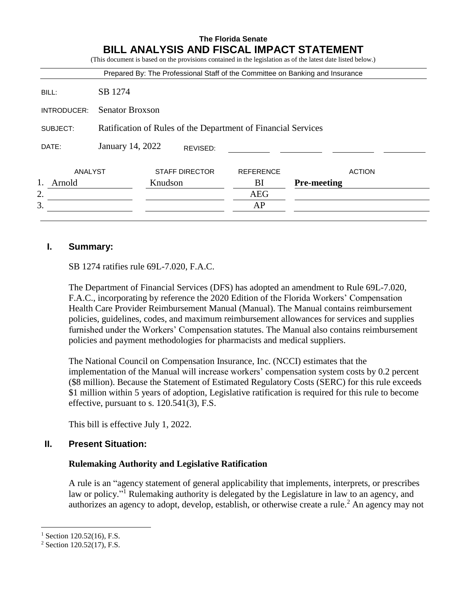|             |                                                               |         |                       |                  | Prepared By: The Professional Staff of the Committee on Banking and Insurance |
|-------------|---------------------------------------------------------------|---------|-----------------------|------------------|-------------------------------------------------------------------------------|
| BILL:       | SB 1274                                                       |         |                       |                  |                                                                               |
| INTRODUCER: | <b>Senator Broxson</b>                                        |         |                       |                  |                                                                               |
| SUBJECT:    | Ratification of Rules of the Department of Financial Services |         |                       |                  |                                                                               |
| DATE:       | January 14, 2022                                              |         | REVISED:              |                  |                                                                               |
| ANALYST     |                                                               |         | <b>STAFF DIRECTOR</b> | <b>REFERENCE</b> | <b>ACTION</b>                                                                 |
| Arnold      |                                                               | Knudson |                       | BI               | <b>Pre-meeting</b>                                                            |
| 2.          |                                                               |         |                       | <b>AEG</b>       |                                                                               |
| 3.          |                                                               |         |                       | AP               |                                                                               |

## **I. Summary:**

SB 1274 ratifies rule 69L-7.020, F.A.C.

The Department of Financial Services (DFS) has adopted an amendment to Rule 69L-7.020, F.A.C., incorporating by reference the 2020 Edition of the Florida Workers' Compensation Health Care Provider Reimbursement Manual (Manual). The Manual contains reimbursement policies, guidelines, codes, and maximum reimbursement allowances for services and supplies furnished under the Workers' Compensation statutes. The Manual also contains reimbursement policies and payment methodologies for pharmacists and medical suppliers.

The National Council on Compensation Insurance, Inc. (NCCI) estimates that the implementation of the Manual will increase workers' compensation system costs by 0.2 percent (\$8 million). Because the Statement of Estimated Regulatory Costs (SERC) for this rule exceeds \$1 million within 5 years of adoption, Legislative ratification is required for this rule to become effective, pursuant to s. 120.541(3), F.S.

This bill is effective July 1, 2022.

### **II. Present Situation:**

#### **Rulemaking Authority and Legislative Ratification**

A rule is an "agency statement of general applicability that implements, interprets, or prescribes law or policy."<sup>1</sup> Rulemaking authority is delegated by the Legislature in law to an agency, and authorizes an agency to adopt, develop, establish, or otherwise create a rule.<sup>2</sup> An agency may not

 $\overline{a}$ 

 $1$  Section 120.52(16), F.S.

<sup>2</sup> Section 120.52(17), F.S.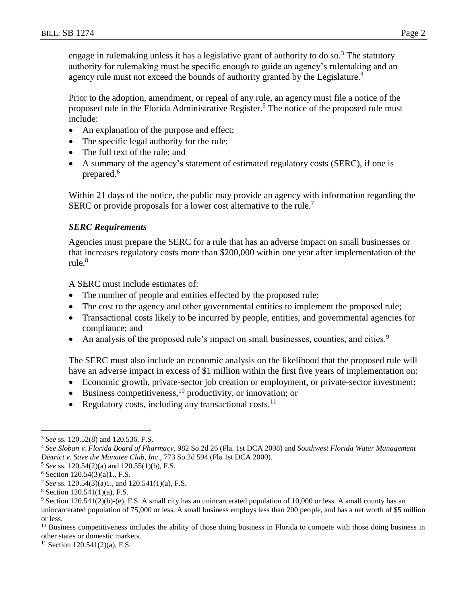engage in rulemaking unless it has a legislative grant of authority to do so.<sup>3</sup> The statutory authority for rulemaking must be specific enough to guide an agency's rulemaking and an agency rule must not exceed the bounds of authority granted by the Legislature.<sup>4</sup>

Prior to the adoption, amendment, or repeal of any rule, an agency must file a notice of the proposed rule in the Florida Administrative Register.<sup>5</sup> The notice of the proposed rule must include:

- An explanation of the purpose and effect;
- The specific legal authority for the rule;
- The full text of the rule; and
- A summary of the agency's statement of estimated regulatory costs (SERC), if one is prepared.<sup>6</sup>

Within 21 days of the notice, the public may provide an agency with information regarding the SERC or provide proposals for a lower cost alternative to the rule.<sup>7</sup>

### *SERC Requirements*

Agencies must prepare the SERC for a rule that has an adverse impact on small businesses or that increases regulatory costs more than \$200,000 within one year after implementation of the rule.<sup>8</sup>

A SERC must include estimates of:

- The number of people and entities effected by the proposed rule;
- The cost to the agency and other governmental entities to implement the proposed rule;
- Transactional costs likely to be incurred by people, entities, and governmental agencies for compliance; and
- An analysis of the proposed rule's impact on small businesses, counties, and cities.<sup>9</sup>

The SERC must also include an economic analysis on the likelihood that the proposed rule will have an adverse impact in excess of \$1 million within the first five years of implementation on:

- Economic growth, private-sector job creation or employment, or private-sector investment;
- $\bullet$  Business competitiveness,<sup>10</sup> productivity, or innovation; or
- Regulatory costs, including any transactional costs. $^{11}$

 $\overline{a}$ 

<sup>10</sup> Business competitiveness includes the ability of those doing business in Florida to compete with those doing business in other states or domestic markets.

 $11$  Section 120.541(2)(a), F.S.

<sup>3</sup> *See* ss. 120.52(8) and 120.536, F.S.

<sup>4</sup> *See Sloban v. Florida Board of Pharmacy,* 982 So.2d 26 (Fla. 1st DCA 2008) and *Southwest Florida Water Management District v. Save the Manatee Club, Inc*., 773 So.2d 594 (Fla 1st DCA 2000).

<sup>5</sup> *See* ss. 120.54(2)(a) and 120.55(1)(b), F.S.

 $6$  Section 120.54(3)(a)1., F.S.

<sup>7</sup> *See* ss. 120.54(3)(a)1., and 120.541(1)(a), F.S.

<sup>8</sup> Section 120.541(1)(a), F.S.

 $9$  Section 120.541(2)(b)-(e), F.S. A small city has an unincarcerated population of 10,000 or less. A small county has an unincarcerated population of 75,000 or less. A small business employs less than 200 people, and has a net worth of \$5 million or less.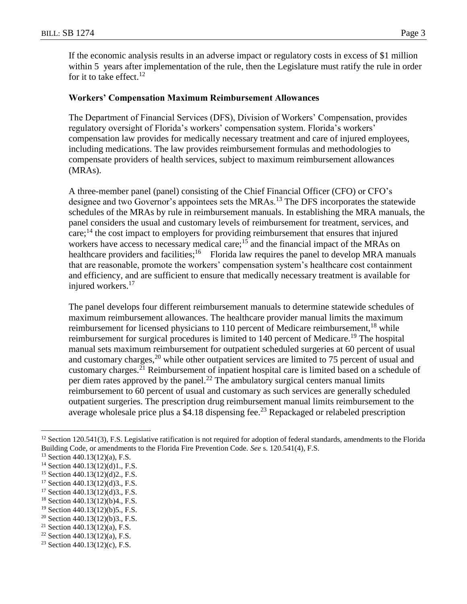If the economic analysis results in an adverse impact or regulatory costs in excess of \$1 million within 5 years after implementation of the rule, then the Legislature must ratify the rule in order for it to take effect.<sup>12</sup>

#### **Workers' Compensation Maximum Reimbursement Allowances**

The Department of Financial Services (DFS), Division of Workers' Compensation, provides regulatory oversight of Florida's workers' compensation system. Florida's workers' compensation law provides for medically necessary treatment and care of injured employees, including medications. The law provides reimbursement formulas and methodologies to compensate providers of health services, subject to maximum reimbursement allowances (MRAs).

A three-member panel (panel) consisting of the Chief Financial Officer (CFO) or CFO's designee and two Governor's appointees sets the MRAs.<sup>13</sup> The DFS incorporates the statewide schedules of the MRAs by rule in reimbursement manuals. In establishing the MRA manuals, the panel considers the usual and customary levels of reimbursement for treatment, services, and  $care; <sup>14</sup>$  the cost impact to employers for providing reimbursement that ensures that injured workers have access to necessary medical care;<sup>15</sup> and the financial impact of the MRAs on healthcare providers and facilities;<sup>16</sup> Florida law requires the panel to develop MRA manuals that are reasonable, promote the workers' compensation system's healthcare cost containment and efficiency, and are sufficient to ensure that medically necessary treatment is available for injured workers.<sup>17</sup>

The panel develops four different reimbursement manuals to determine statewide schedules of maximum reimbursement allowances. The healthcare provider manual limits the maximum reimbursement for licensed physicians to 110 percent of Medicare reimbursement,  $18$  while reimbursement for surgical procedures is limited to 140 percent of Medicare.<sup>19</sup> The hospital manual sets maximum reimbursement for outpatient scheduled surgeries at 60 percent of usual and customary charges,  $^{20}$  while other outpatient services are limited to 75 percent of usual and customary charges.<sup>21</sup> Reimbursement of inpatient hospital care is limited based on a schedule of per diem rates approved by the panel.<sup>22</sup> The ambulatory surgical centers manual limits reimbursement to 60 percent of usual and customary as such services are generally scheduled outpatient surgeries. The prescription drug reimbursement manual limits reimbursement to the average wholesale price plus a  $$4.18$  dispensing fee.<sup>23</sup> Repackaged or relabeled prescription

 $\overline{a}$ 

 $22$  Section 440.13(12)(a), F.S.

<sup>&</sup>lt;sup>12</sup> Section 120.541(3), F.S. Legislative ratification is not required for adoption of federal standards, amendments to the Florida Building Code, or amendments to the Florida Fire Prevention Code. *See* s. 120.541(4), F.S.

<sup>13</sup> Section 440.13(12)(a), F.S.

<sup>14</sup> Section 440.13(12)(d)1., F.S.

<sup>15</sup> Section 440.13(12)(d)2., F.S.

 $17$  Section 440.13(12)(d)3., F.S.

<sup>17</sup> Section 440.13(12)(d)3., F.S.

 $18$  Section 440.13(12)(b)4., F.S.

<sup>19</sup> Section 440.13(12)(b)5., F.S.

<sup>&</sup>lt;sup>20</sup> Section 440.13(12)(b)3., F.S.

<sup>&</sup>lt;sup>21</sup> Section 440.13(12)(a), F.S.

<sup>&</sup>lt;sup>23</sup> Section 440.13(12)(c), F.S.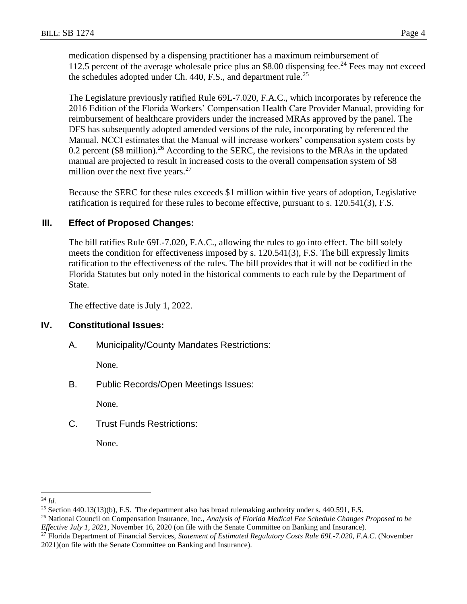medication dispensed by a dispensing practitioner has a maximum reimbursement of 112.5 percent of the average wholesale price plus an \$8.00 dispensing fee.<sup>24</sup> Fees may not exceed the schedules adopted under Ch.  $440$ , F.S., and department rule.<sup>25</sup>

The Legislature previously ratified Rule 69L-7.020, F.A.C., which incorporates by reference the 2016 Edition of the Florida Workers' Compensation Health Care Provider Manual, providing for reimbursement of healthcare providers under the increased MRAs approved by the panel. The DFS has subsequently adopted amended versions of the rule, incorporating by referenced the Manual. NCCI estimates that the Manual will increase workers' compensation system costs by 0.2 percent (\$8 million).<sup>26</sup> According to the SERC, the revisions to the MRAs in the updated manual are projected to result in increased costs to the overall compensation system of \$8 million over the next five years. $27$ 

Because the SERC for these rules exceeds \$1 million within five years of adoption, Legislative ratification is required for these rules to become effective, pursuant to s. 120.541(3), F.S.

# **III. Effect of Proposed Changes:**

The bill ratifies Rule 69L-7.020, F.A.C., allowing the rules to go into effect. The bill solely meets the condition for effectiveness imposed by s. 120.541(3), F.S. The bill expressly limits ratification to the effectiveness of the rules. The bill provides that it will not be codified in the Florida Statutes but only noted in the historical comments to each rule by the Department of State.

The effective date is July 1, 2022.

# **IV. Constitutional Issues:**

A. Municipality/County Mandates Restrictions:

None.

B. Public Records/Open Meetings Issues:

None.

C. Trust Funds Restrictions:

None.

 $\overline{a}$ <sup>24</sup> *Id.*

<sup>&</sup>lt;sup>25</sup> Section 440.13(13)(b), F.S. The department also has broad rulemaking authority under s. 440.591, F.S.

<sup>26</sup> National Council on Compensation Insurance, Inc., *Analysis of Florida Medical Fee Schedule Changes Proposed to be Effective July 1, 2021*, November 16, 2020 (on file with the Senate Committee on Banking and Insurance).

<sup>27</sup> Florida Department of Financial Services, *Statement of Estimated Regulatory Costs Rule 69L-7.020, F.A.C*. (November 2021)(on file with the Senate Committee on Banking and Insurance).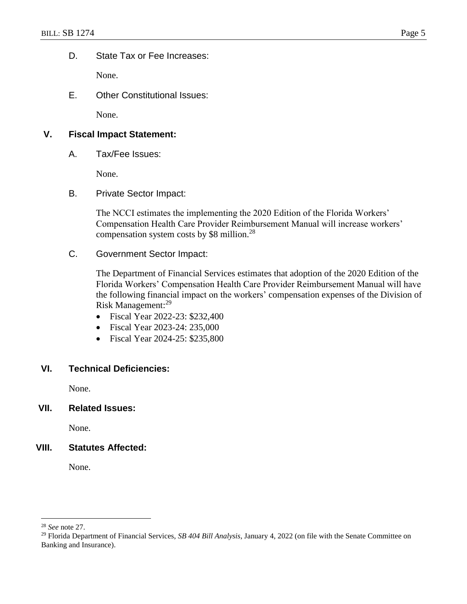D. State Tax or Fee Increases:

None.

E. Other Constitutional Issues:

None.

# **V. Fiscal Impact Statement:**

A. Tax/Fee Issues:

None.

B. Private Sector Impact:

The NCCI estimates the implementing the 2020 Edition of the Florida Workers' Compensation Health Care Provider Reimbursement Manual will increase workers' compensation system costs by \$8 million.<sup>28</sup>

C. Government Sector Impact:

The Department of Financial Services estimates that adoption of the 2020 Edition of the Florida Workers' Compensation Health Care Provider Reimbursement Manual will have the following financial impact on the workers' compensation expenses of the Division of Risk Management:<sup>29</sup>

- Fiscal Year 2022-23: \$232,400
- Fiscal Year 2023-24: 235,000
- Fiscal Year 2024-25: \$235,800

### **VI. Technical Deficiencies:**

None.

**VII. Related Issues:**

None.

### **VIII. Statutes Affected:**

None.

 $\overline{a}$ 

<sup>28</sup> *See* note 27.

<sup>29</sup> Florida Department of Financial Services, *SB 404 Bill Analysis*, January 4, 2022 (on file with the Senate Committee on Banking and Insurance).